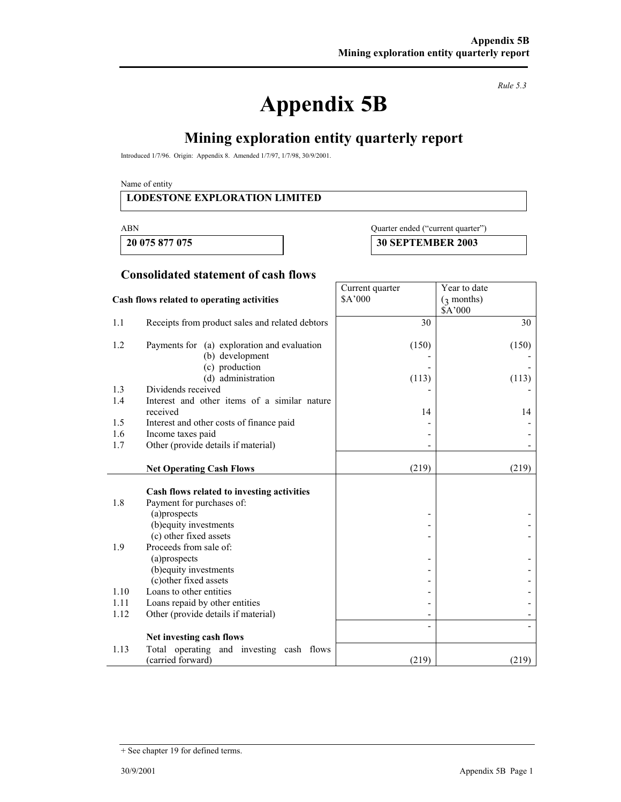# **Appendix 5B**

*Rule 5.3* 

# **Mining exploration entity quarterly report**

Introduced 1/7/96. Origin: Appendix 8. Amended 1/7/97, 1/7/98, 30/9/2001.

Name of entity

#### **LODESTONE EXPLORATION LIMITED**

#### ABN Quarter ended ("current quarter")

 **20 075 877 075 30 SEPTEMBER 2003** 

Year to date (3 months)

Current quarter \$A'000

#### **Consolidated statement of cash flows**

#### **Cash flows related to operating activities**

|      |                                                 |       | \$A'000 |
|------|-------------------------------------------------|-------|---------|
| 1.1  | Receipts from product sales and related debtors | 30    | 30      |
| 1.2  | Payments for (a) exploration and evaluation     | (150) | (150)   |
|      | (b) development                                 |       |         |
|      | (c) production                                  |       |         |
|      | (d) administration                              | (113) | (113)   |
| 1.3  | Dividends received                              |       |         |
| 1.4  | Interest and other items of a similar nature    |       |         |
|      | received                                        | 14    | 14      |
| 1.5  | Interest and other costs of finance paid        |       |         |
| 1.6  | Income taxes paid                               |       |         |
| 1.7  | Other (provide details if material)             |       |         |
|      |                                                 |       |         |
|      | <b>Net Operating Cash Flows</b>                 | (219) | (219)   |
|      |                                                 |       |         |
|      | Cash flows related to investing activities      |       |         |
| 1.8  | Payment for purchases of:                       |       |         |
|      | (a)prospects                                    |       |         |
|      | (b) equity investments                          |       |         |
|      | (c) other fixed assets                          |       |         |
| 1.9  | Proceeds from sale of:                          |       |         |
|      | (a)prospects                                    |       |         |
|      | (b) equity investments                          |       |         |
|      | (c) other fixed assets                          |       |         |
| 1.10 | Loans to other entities                         |       |         |
| 1.11 | Loans repaid by other entities                  |       |         |
| 1.12 | Other (provide details if material)             | ۰     |         |
|      |                                                 |       |         |
|      | Net investing cash flows                        |       |         |
| 1.13 | Total operating and investing cash flows        |       |         |
|      | (carried forward)                               | (219) | (219)   |

<sup>+</sup> See chapter 19 for defined terms.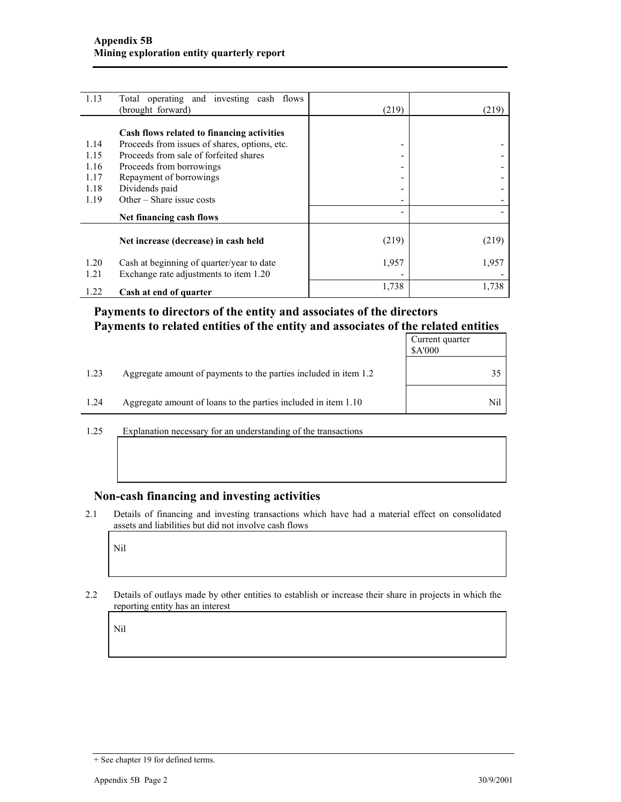| 1.13 | Total operating and investing cash flows      |       |       |
|------|-----------------------------------------------|-------|-------|
|      | (brought forward)                             | (219) | (219) |
|      |                                               |       |       |
|      | Cash flows related to financing activities    |       |       |
| 1.14 | Proceeds from issues of shares, options, etc. |       |       |
| 1.15 | Proceeds from sale of forfeited shares        |       |       |
| 1.16 | Proceeds from borrowings                      |       |       |
| 1.17 | Repayment of borrowings                       | -     |       |
| 1.18 | Dividends paid                                | -     |       |
| 1.19 | Other – Share issue costs                     |       |       |
|      | Net financing cash flows                      |       |       |
|      |                                               |       |       |
|      | Net increase (decrease) in cash held          | (219) | (219) |
| 1.20 | Cash at beginning of quarter/year to date     | 1,957 | 1,957 |
| 1.21 | Exchange rate adjustments to item 1.20        |       |       |
|      |                                               | 1,738 | 1,738 |
| 1.22 | Cash at end of quarter                        |       |       |

## **Payments to directors of the entity and associates of the directors Payments to related entities of the entity and associates of the related entities**

|      |                                                                  | Current quarter<br>\$A'000 |
|------|------------------------------------------------------------------|----------------------------|
| 1.23 | Aggregate amount of payments to the parties included in item 1.2 | 35                         |
| 1.24 | Aggregate amount of loans to the parties included in item 1.10   | Nil                        |

1.25 Explanation necessary for an understanding of the transactions

#### **Non-cash financing and investing activities**

2.1 Details of financing and investing transactions which have had a material effect on consolidated assets and liabilities but did not involve cash flows

Nil

2.2 Details of outlays made by other entities to establish or increase their share in projects in which the reporting entity has an interest

Nil

<sup>+</sup> See chapter 19 for defined terms.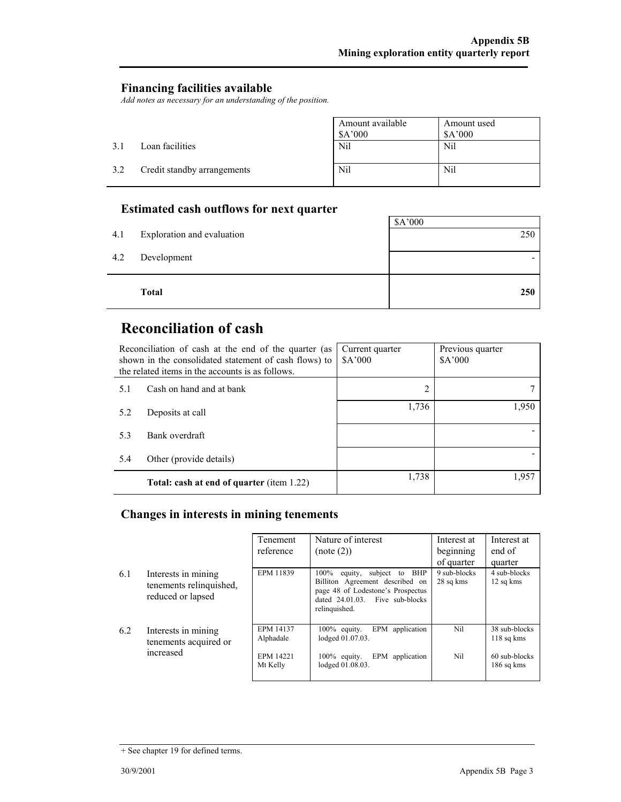#### **Financing facilities available**

*Add notes as necessary for an understanding of the position.* 

|     |                             | Amount available<br>\$A'000 | Amount used<br>A'000 |
|-----|-----------------------------|-----------------------------|----------------------|
| 31  | Loan facilities             | Nil                         | Nil                  |
| 3.2 | Credit standby arrangements | Nil                         | Nil                  |

## **Estimated cash outflows for next quarter**

|     | <b>Total</b>               | 250     |
|-----|----------------------------|---------|
| 4.2 | Development                |         |
| 4.1 | Exploration and evaluation | 250     |
|     |                            | \$A'000 |

# **Reconciliation of cash**

 $\overline{a}$ 

|     | Reconciliation of cash at the end of the quarter (as<br>shown in the consolidated statement of cash flows) to<br>the related items in the accounts is as follows. | Current quarter<br>\$A'000 | Previous quarter<br>\$A'000 |
|-----|-------------------------------------------------------------------------------------------------------------------------------------------------------------------|----------------------------|-----------------------------|
| 5.1 | Cash on hand and at bank                                                                                                                                          | 2                          |                             |
| 5.2 | Deposits at call                                                                                                                                                  | 1,736                      | 1,950                       |
| 5.3 | Bank overdraft                                                                                                                                                    |                            |                             |
| 5.4 | Other (provide details)                                                                                                                                           |                            |                             |
|     | <b>Total: cash at end of quarter (item 1.22)</b>                                                                                                                  | 1,738                      | 1,957                       |

## **Changes in interests in mining tenements**

|     |                                                                     | Tenement<br>reference                                         | Nature of interest<br>(note (2))                                                                                                                                       | Interest at<br>beginning<br>of quarter | Interest at<br>end of<br>quarter                             |
|-----|---------------------------------------------------------------------|---------------------------------------------------------------|------------------------------------------------------------------------------------------------------------------------------------------------------------------------|----------------------------------------|--------------------------------------------------------------|
| 6.1 | Interests in mining<br>tenements relinquished,<br>reduced or lapsed | EPM 11839                                                     | $100\%$<br>subject to<br>BHP<br>equity,<br>Billiton Agreement described on<br>page 48 of Lodestone's Prospectus<br>dated $24.01.03$ . Five sub-blocks<br>relinquished. | 9 sub-blocks<br>28 sq kms              | 4 sub-blocks<br>12 sq kms                                    |
| 6.2 | Interests in mining<br>tenements acquired or<br>increased           | <b>EPM 14137</b><br>Alphadale<br><b>EPM 14221</b><br>Mt Kelly | EPM application<br>$100\%$ equity.<br>lodged 01.07.03.<br>EPM application<br>$100\%$ equity.<br>lodged 01.08.03.                                                       | Nil<br>Nil                             | 38 sub-blocks<br>$118$ sq kms<br>60 sub-blocks<br>186 sq kms |

<sup>+</sup> See chapter 19 for defined terms.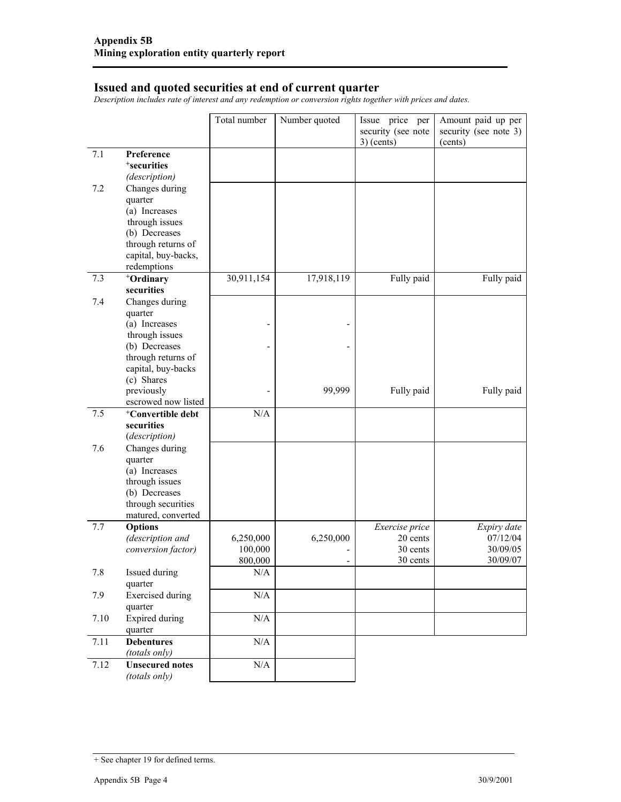#### **Issued and quoted securities at end of current quarter**

*Description includes rate of interest and any redemption or conversion rights together with prices and dates.* 

|      |                                    | Total number     | Number quoted | Issue price per            | Amount paid up per      |
|------|------------------------------------|------------------|---------------|----------------------------|-------------------------|
|      |                                    |                  |               | security (see note         | security (see note 3)   |
|      |                                    |                  |               | $3)$ (cents)               | (cents)                 |
| 7.1  | Preference                         |                  |               |                            |                         |
|      | <sup>+</sup> securities            |                  |               |                            |                         |
|      | (description)                      |                  |               |                            |                         |
| 7.2  | Changes during                     |                  |               |                            |                         |
|      | quarter                            |                  |               |                            |                         |
|      | (a) Increases                      |                  |               |                            |                         |
|      | through issues                     |                  |               |                            |                         |
|      | (b) Decreases                      |                  |               |                            |                         |
|      | through returns of                 |                  |               |                            |                         |
|      | capital, buy-backs,                |                  |               |                            |                         |
|      | redemptions                        |                  |               |                            |                         |
| 7.3  | +Ordinary<br>securities            | 30,911,154       | 17,918,119    | Fully paid                 | Fully paid              |
| 7.4  |                                    |                  |               |                            |                         |
|      | Changes during<br>quarter          |                  |               |                            |                         |
|      | (a) Increases                      |                  |               |                            |                         |
|      | through issues                     |                  |               |                            |                         |
|      | (b) Decreases                      |                  |               |                            |                         |
|      | through returns of                 |                  |               |                            |                         |
|      | capital, buy-backs                 |                  |               |                            |                         |
|      | (c) Shares                         |                  |               |                            |                         |
|      | previously                         |                  | 99,999        | Fully paid                 | Fully paid              |
|      | escrowed now listed                |                  |               |                            |                         |
| 7.5  | <sup>+</sup> Convertible debt      | N/A              |               |                            |                         |
|      | securities                         |                  |               |                            |                         |
|      | (description)                      |                  |               |                            |                         |
| 7.6  | Changes during                     |                  |               |                            |                         |
|      | quarter                            |                  |               |                            |                         |
|      | (a) Increases                      |                  |               |                            |                         |
|      | through issues                     |                  |               |                            |                         |
|      | (b) Decreases                      |                  |               |                            |                         |
|      | through securities                 |                  |               |                            |                         |
|      | matured, converted                 |                  |               |                            |                         |
| 7.7  | <b>Options</b><br>(description and | 6,250,000        | 6,250,000     | Exercise price<br>20 cents | Expiry date<br>07/12/04 |
|      | conversion factor)                 | 100,000          |               | 30 cents                   | 30/09/05                |
|      |                                    | 800,000          |               | 30 cents                   | 30/09/07                |
| 7.8  | Issued during                      | N/A              |               |                            |                         |
|      | quarter                            |                  |               |                            |                         |
| 7.9  | <b>Exercised</b> during            | $\rm N/A$        |               |                            |                         |
|      | quarter                            |                  |               |                            |                         |
| 7.10 | <b>Expired</b> during              | $\overline{N}/A$ |               |                            |                         |
|      | quarter                            |                  |               |                            |                         |
| 7.11 | <b>Debentures</b>                  | $\rm N/A$        |               |                            |                         |
|      | (totals only)                      |                  |               |                            |                         |
| 7.12 | <b>Unsecured notes</b>             | $\rm N/A$        |               |                            |                         |
|      | (totals only)                      |                  |               |                            |                         |

<sup>+</sup> See chapter 19 for defined terms.